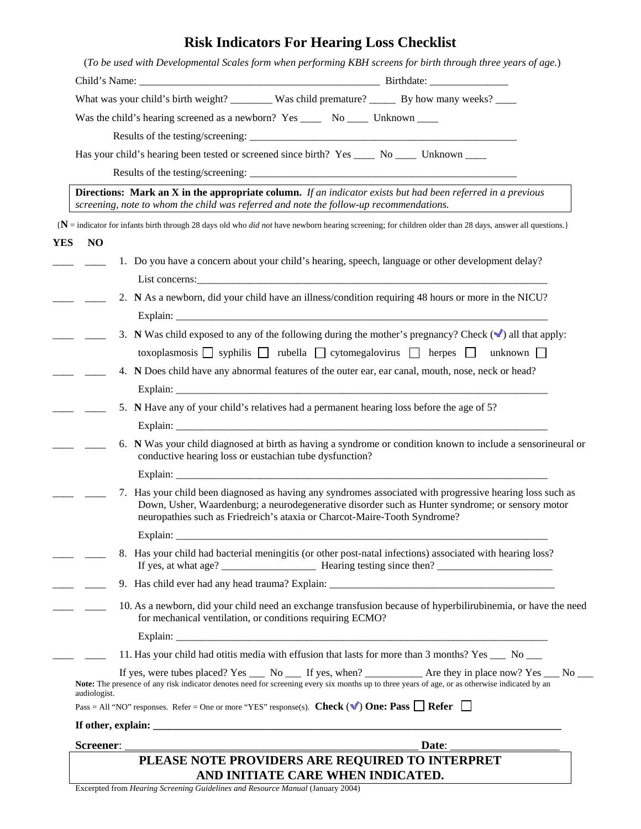## **Risk Indicators For Hearing Loss Checklist**

|                         | What was your child's birth weight? ________ Was child premature? _______ By how many weeks? _____                                                                                                                                                                                         |
|-------------------------|--------------------------------------------------------------------------------------------------------------------------------------------------------------------------------------------------------------------------------------------------------------------------------------------|
|                         | Was the child's hearing screened as a newborn? Yes _______ No ______ Unknown ____                                                                                                                                                                                                          |
|                         |                                                                                                                                                                                                                                                                                            |
|                         | Has your child's hearing been tested or screened since birth? Yes _____ No _____ Unknown ____                                                                                                                                                                                              |
|                         |                                                                                                                                                                                                                                                                                            |
|                         | <b>Directions:</b> Mark an X in the appropriate column. If an indicator exists but had been referred in a previous<br>screening, note to whom the child was referred and note the follow-up recommendations.                                                                               |
|                         | ${N}$ = indicator for infants birth through 28 days old who <i>did not</i> have newborn hearing screening; for children older than 28 days, answer all questions.}                                                                                                                         |
| <b>YES</b><br><b>NO</b> |                                                                                                                                                                                                                                                                                            |
|                         | 1. Do you have a concern about your child's hearing, speech, language or other development delay?                                                                                                                                                                                          |
|                         |                                                                                                                                                                                                                                                                                            |
|                         | 2. N As a newborn, did your child have an illness/condition requiring 48 hours or more in the NICU?                                                                                                                                                                                        |
|                         |                                                                                                                                                                                                                                                                                            |
|                         | 3. N Was child exposed to any of the following during the mother's pregnancy? Check $(\checkmark)$ all that apply:                                                                                                                                                                         |
|                         | toxoplasmosis   syphilis   rubella   cytomegalovirus   herpes   unknown                                                                                                                                                                                                                    |
|                         | 4. N Does child have any abnormal features of the outer ear, ear canal, mouth, nose, neck or head?                                                                                                                                                                                         |
|                         |                                                                                                                                                                                                                                                                                            |
|                         | 5. N Have any of your child's relatives had a permanent hearing loss before the age of 5?                                                                                                                                                                                                  |
|                         |                                                                                                                                                                                                                                                                                            |
|                         | 6. N Was your child diagnosed at birth as having a syndrome or condition known to include a sensorineural or<br>conductive hearing loss or eustachian tube dysfunction?                                                                                                                    |
|                         |                                                                                                                                                                                                                                                                                            |
|                         | 7. Has your child been diagnosed as having any syndromes associated with progressive hearing loss such as<br>Down, Usher, Waardenburg; a neurodegenerative disorder such as Hunter syndrome; or sensory motor<br>neuropathies such as Friedreich's ataxia or Charcot-Maire-Tooth Syndrome? |
|                         | Explain: $\overline{\phantom{a}}$                                                                                                                                                                                                                                                          |
|                         | 8. Has your child had bacterial meningitis (or other post-natal infections) associated with hearing loss?                                                                                                                                                                                  |
|                         |                                                                                                                                                                                                                                                                                            |
|                         | 10. As a newborn, did your child need an exchange transfusion because of hyperbilirubinemia, or have the need<br>for mechanical ventilation, or conditions requiring ECMO?                                                                                                                 |
|                         |                                                                                                                                                                                                                                                                                            |
|                         | 11. Has your child had otitis media with effusion that lasts for more than 3 months? Yes ___ No __                                                                                                                                                                                         |
| audiologist.            | If yes, were tubes placed? Yes _____ No ______ If yes, when? _______________ Are they in place now? Yes ____ No ____<br>Note: The presence of any risk indicator denotes need for screening every six months up to three years of age, or as otherwise indicated by an                     |
|                         | Pass = All "NO" responses. Refer = One or more "YES" response(s). Check ( $\blacktriangledown$ ) One: Pass $\Box$ Refer $\Box$                                                                                                                                                             |
|                         |                                                                                                                                                                                                                                                                                            |
|                         |                                                                                                                                                                                                                                                                                            |

**AND INITIATE CARE WHEN INDICATED.** 

Excerpted from *Hearing Screening Guidelines and Resource Manual* (January 2004)